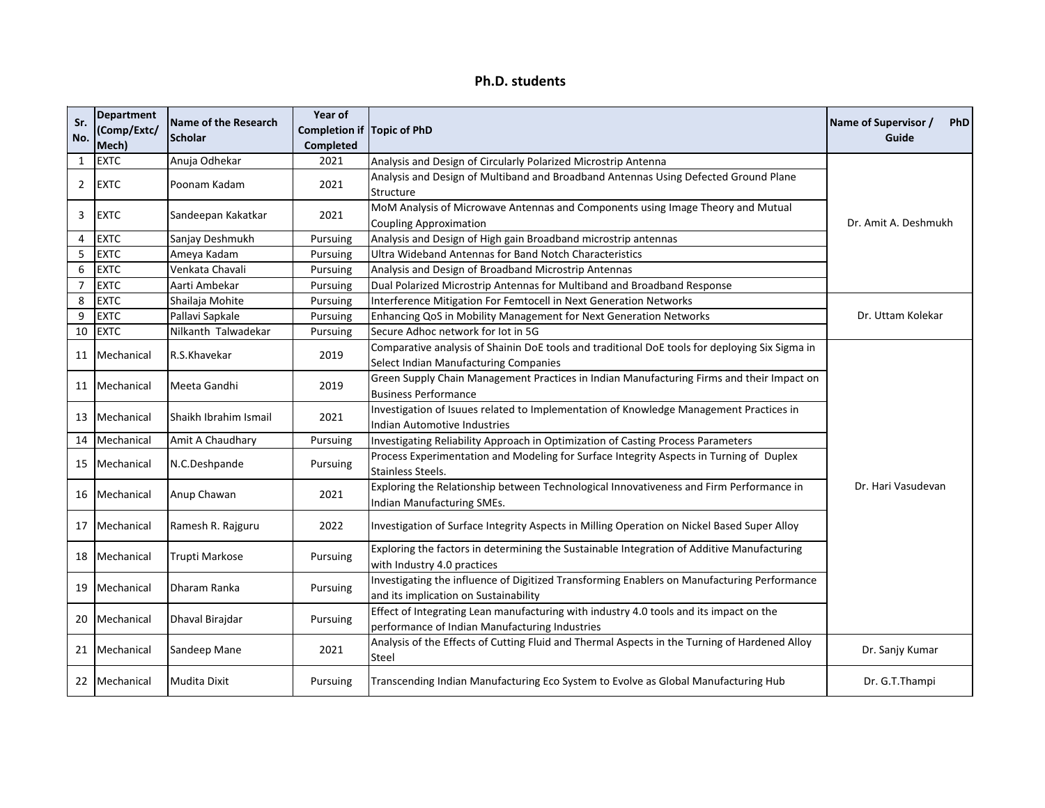| Ph.D. students |  |
|----------------|--|
|----------------|--|

| Sr.<br>No.     | <b>Department</b><br>(Comp/Extc/<br>Mech) | <b>Name of the Research</b><br><b>Scholar</b> | Year of<br>Completion if Topic of PhD<br>Completed |                                                                                                                                          | Name of Supervisor /<br>PhD<br>Guide |
|----------------|-------------------------------------------|-----------------------------------------------|----------------------------------------------------|------------------------------------------------------------------------------------------------------------------------------------------|--------------------------------------|
| $\mathbf{1}$   | <b>EXTC</b>                               | Anuja Odhekar                                 | 2021                                               | Analysis and Design of Circularly Polarized Microstrip Antenna                                                                           |                                      |
| $\overline{2}$ | <b>EXTC</b>                               | Poonam Kadam                                  | 2021                                               | Analysis and Design of Multiband and Broadband Antennas Using Defected Ground Plane<br>Structure                                         |                                      |
| 3              | <b>EXTC</b>                               | Sandeepan Kakatkar                            | 2021                                               | MoM Analysis of Microwave Antennas and Components using Image Theory and Mutual<br><b>Coupling Approximation</b>                         | Dr. Amit A. Deshmukh                 |
| $\overline{4}$ | <b>EXTC</b>                               | Sanjay Deshmukh                               | Pursuing                                           | Analysis and Design of High gain Broadband microstrip antennas                                                                           |                                      |
| 5              | <b>EXTC</b>                               | Ameya Kadam                                   | Pursuing                                           | Ultra Wideband Antennas for Band Notch Characteristics                                                                                   |                                      |
| 6              | <b>EXTC</b>                               | Venkata Chavali                               | Pursuing                                           | Analysis and Design of Broadband Microstrip Antennas                                                                                     |                                      |
| $\overline{7}$ | <b>EXTC</b>                               | Aarti Ambekar                                 | Pursuing                                           | Dual Polarized Microstrip Antennas for Multiband and Broadband Response                                                                  |                                      |
| 8              | <b>EXTC</b>                               | Shailaja Mohite                               | Pursuing                                           | Interference Mitigation For Femtocell in Next Generation Networks                                                                        |                                      |
| 9              | <b>EXTC</b>                               | Pallavi Sapkale                               | Pursuing                                           | Enhancing QoS in Mobility Management for Next Generation Networks                                                                        | Dr. Uttam Kolekar                    |
| 10             | <b>EXTC</b>                               | Nilkanth Talwadekar                           | Pursuing                                           | Secure Adhoc network for lot in 5G                                                                                                       |                                      |
|                | 11 Mechanical                             | R.S.Khavekar                                  | 2019                                               | Comparative analysis of Shainin DoE tools and traditional DoE tools for deploying Six Sigma in<br>Select Indian Manufacturing Companies  |                                      |
|                | 11 Mechanical                             | Meeta Gandhi                                  | 2019                                               | Green Supply Chain Management Practices in Indian Manufacturing Firms and their Impact on<br><b>Business Performance</b>                 |                                      |
| 13             | Mechanical                                | Shaikh Ibrahim Ismail                         | 2021                                               | Investigation of Isuues related to Implementation of Knowledge Management Practices in<br>Indian Automotive Industries                   |                                      |
| 14             | Mechanical                                | Amit A Chaudhary                              | Pursuing                                           | Investigating Reliability Approach in Optimization of Casting Process Parameters                                                         |                                      |
| 15             | Mechanical                                | N.C.Deshpande                                 | Pursuing                                           | Process Experimentation and Modeling for Surface Integrity Aspects in Turning of Duplex<br><b>Stainless Steels.</b>                      |                                      |
| 16             | Mechanical                                | Anup Chawan                                   | 2021                                               | Exploring the Relationship between Technological Innovativeness and Firm Performance in<br>Indian Manufacturing SMEs.                    | Dr. Hari Vasudevan                   |
| 17             | Mechanical                                | Ramesh R. Rajguru                             | 2022                                               | Investigation of Surface Integrity Aspects in Milling Operation on Nickel Based Super Alloy                                              |                                      |
| 18             | Mechanical                                | Trupti Markose                                | Pursuing                                           | Exploring the factors in determining the Sustainable Integration of Additive Manufacturing<br>with Industry 4.0 practices                |                                      |
| 19             | Mechanical                                | Dharam Ranka                                  | Pursuing                                           | Investigating the influence of Digitized Transforming Enablers on Manufacturing Performance<br>and its implication on Sustainability     |                                      |
|                | 20   Mechanical                           | Dhaval Birajdar                               | Pursuing                                           | Effect of Integrating Lean manufacturing with industry 4.0 tools and its impact on the<br>performance of Indian Manufacturing Industries |                                      |
|                | 21   Mechanical                           | Sandeep Mane                                  | 2021                                               | Analysis of the Effects of Cutting Fluid and Thermal Aspects in the Turning of Hardened Alloy<br>Steel                                   | Dr. Sanjy Kumar                      |
|                | 22   Mechanical                           | <b>Mudita Dixit</b>                           | Pursuing                                           | Transcending Indian Manufacturing Eco System to Evolve as Global Manufacturing Hub                                                       | Dr. G.T.Thampi                       |